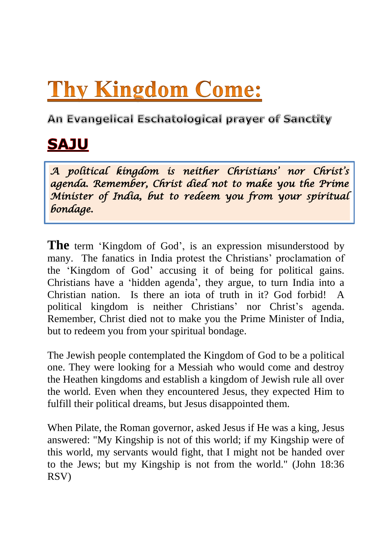## **Thy Kingdom Come:**

An Evangelical Eschatological prayer of Sanctity

## **SAJU**

*A political kingdom is neither Christians" nor Christ"s agenda. Remember, Christ died not to make you the Prime Minister of India, but to redeem you from your spiritual bondage.* 

**The** term 'Kingdom of God', is an expression misunderstood by many. The fanatics in India protest the Christians' proclamation of the "Kingdom of God" accusing it of being for political gains. Christians have a "hidden agenda", they argue, to turn India into a Christian nation. Is there an iota of truth in it? God forbid! A political kingdom is neither Christians' nor Christ's agenda. Remember, Christ died not to make you the Prime Minister of India, but to redeem you from your spiritual bondage.

The Jewish people contemplated the Kingdom of God to be a political one. They were looking for a Messiah who would come and destroy the Heathen kingdoms and establish a kingdom of Jewish rule all over the world. Even when they encountered Jesus, they expected Him to fulfill their political dreams, but Jesus disappointed them.

When Pilate, the Roman governor, asked Jesus if He was a king, Jesus answered: "My Kingship is not of this world; if my Kingship were of this world, my servants would fight, that I might not be handed over to the Jews; but my Kingship is not from the world." (John 18:36 RSV)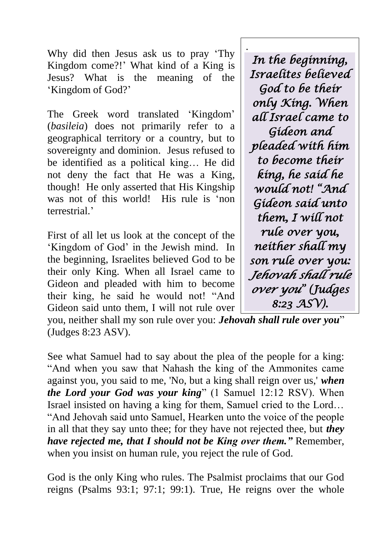Why did then Jesus ask us to pray "Thy Kingdom come?!" What kind of a King is Jesus? What is the meaning of the "Kingdom of God?"

The Greek word translated 'Kingdom' (*basileia*) does not primarily refer to a geographical territory or a country, but to sovereignty and dominion. Jesus refused to be identified as a political king… He did not deny the fact that He was a King, though! He only asserted that His Kingship was not of this world! His rule is 'non terrestrial."

First of all let us look at the concept of the "Kingdom of God" in the Jewish mind. In the beginning, Israelites believed God to be their only King. When all Israel came to Gideon and pleaded with him to become their king, he said he would not! "And Gideon said unto them, I will not rule over

. *In the beginning, Israelites believed God to be their only King. When all Israel came to Gideon and pleaded with him to become their king, he said he would not! "And Gideon said unto them, I will not rule over you, neither shall my son rule over you: Jehovah shall rule over you" (Judges 8:23 ASV).* 

you, neither shall my son rule over you: *Jehovah shall rule over you*" (Judges 8:23 ASV).

See what Samuel had to say about the plea of the people for a king: "And when you saw that Nahash the king of the Ammonites came against you, you said to me, 'No, but a king shall reign over us,' *when the Lord your God was your king*" (1 Samuel 12:12 RSV). When Israel insisted on having a king for them, Samuel cried to the Lord… "And Jehovah said unto Samuel, Hearken unto the voice of the people in all that they say unto thee; for they have not rejected thee, but *they have rejected me, that I should not be King over them."* Remember, when you insist on human rule, you reject the rule of God.

God is the only King who rules. The Psalmist proclaims that our God reigns (Psalms 93:1; 97:1; 99:1). True, He reigns over the whole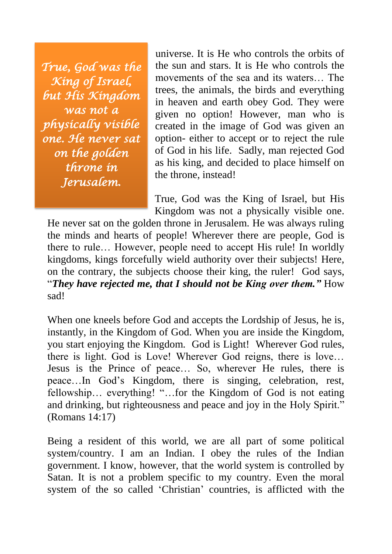*True, God was the King of Israel, but His Kingdom was not a physically visible one. He never sat on the golden throne in Jerusalem.* 

universe. It is He who controls the orbits of the sun and stars. It is He who controls the movements of the sea and its waters… The trees, the animals, the birds and everything in heaven and earth obey God. They were given no option! However, man who is created in the image of God was given an option- either to accept or to reject the rule of God in his life. Sadly, man rejected God as his king, and decided to place himself on the throne, instead!

True, God was the King of Israel, but His Kingdom was not a physically visible one.

He never sat on the golden throne in Jerusalem. He was always ruling the minds and hearts of people! Wherever there are people, God is there to rule… However, people need to accept His rule! In worldly kingdoms, kings forcefully wield authority over their subjects! Here, on the contrary, the subjects choose their king, the ruler! God says, "*They have rejected me, that I should not be King over them."* How sad!

When one kneels before God and accepts the Lordship of Jesus, he is, instantly, in the Kingdom of God. When you are inside the Kingdom, you start enjoying the Kingdom. God is Light! Wherever God rules, there is light. God is Love! Wherever God reigns, there is love… Jesus is the Prince of peace… So, wherever He rules, there is peace…In God"s Kingdom, there is singing, celebration, rest, fellowship… everything! "…for the Kingdom of God is not eating and drinking, but righteousness and peace and joy in the Holy Spirit." (Romans 14:17)

Being a resident of this world, we are all part of some political system/country. I am an Indian. I obey the rules of the Indian government. I know, however, that the world system is controlled by Satan. It is not a problem specific to my country. Even the moral system of the so called "Christian" countries, is afflicted with the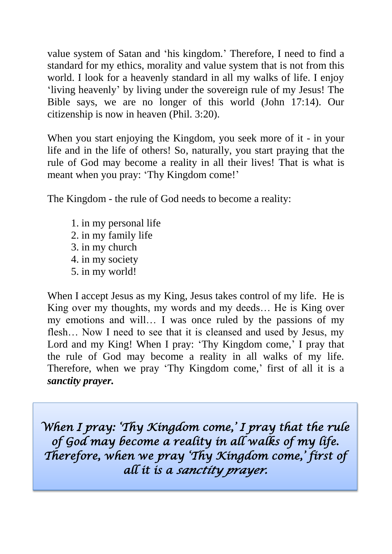value system of Satan and "his kingdom." Therefore, I need to find a standard for my ethics, morality and value system that is not from this world. I look for a heavenly standard in all my walks of life. I enjoy "living heavenly" by living under the sovereign rule of my Jesus! The Bible says, we are no longer of this world (John 17:14). Our citizenship is now in heaven (Phil. 3:20).

When you start enjoying the Kingdom, you seek more of it - in your life and in the life of others! So, naturally, you start praying that the rule of God may become a reality in all their lives! That is what is meant when you pray: 'Thy Kingdom come!'

The Kingdom - the rule of God needs to become a reality:

1. in my personal life 2. in my family life 3. in my church 4. in my society 5. in my world!

When I accept Jesus as my King, Jesus takes control of my life. He is King over my thoughts, my words and my deeds... He is King over my emotions and will… I was once ruled by the passions of my flesh… Now I need to see that it is cleansed and used by Jesus, my Lord and my King! When I pray: 'Thy Kingdom come,' I pray that the rule of God may become a reality in all walks of my life. Therefore, when we pray 'Thy Kingdom come,' first of all it is a *sanctity prayer.*

*When I pray: "Thy Kingdom come," I pray that the rule of God may become a reality in all walks of my life. Therefore, when we pray "Thy Kingdom come," first of all it is a sanctity prayer.*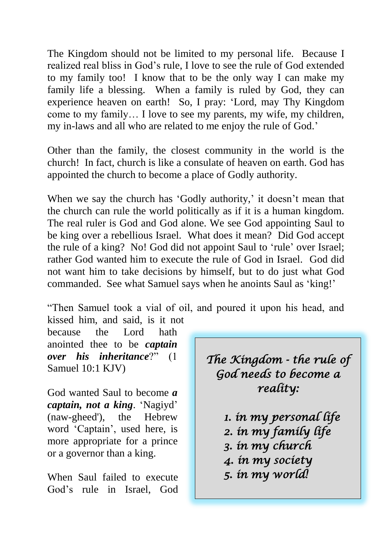The Kingdom should not be limited to my personal life. Because I realized real bliss in God"s rule, I love to see the rule of God extended to my family too! I know that to be the only way I can make my family life a blessing. When a family is ruled by God, they can experience heaven on earth! So, I pray: "Lord, may Thy Kingdom come to my family… I love to see my parents, my wife, my children, my in-laws and all who are related to me enjoy the rule of God.'

Other than the family, the closest community in the world is the church! In fact, church is like a consulate of heaven on earth. God has appointed the church to become a place of Godly authority.

When we say the church has 'Godly authority,' it doesn't mean that the church can rule the world politically as if it is a human kingdom. The real ruler is God and God alone. We see God appointing Saul to be king over a rebellious Israel. What does it mean? Did God accept the rule of a king? No! God did not appoint Saul to "rule" over Israel; rather God wanted him to execute the rule of God in Israel. God did not want him to take decisions by himself, but to do just what God commanded. See what Samuel says when he anoints Saul as "king!"

"Then Samuel took a vial of oil, and poured it upon his head, and kissed him, and said, is it not

because the Lord hath anointed thee to be *captain over his inheritance*?" (1 Samuel 10:1 KJV)

God wanted Saul to become *a captain, not a king*. "Nagiyd" (naw-gheed'), the Hebrew word "Captain", used here, is more appropriate for a prince or a governor than a king.

When Saul failed to execute God"s rule in Israel, God *The Kingdom - the rule of God needs to become a reality:* 

> *1. in my personal life 2. in my family life 3. in my church 4. in my society 5. in my world!*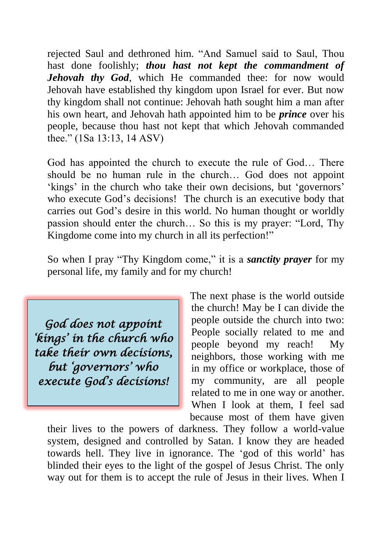rejected Saul and dethroned him. "And Samuel said to Saul, Thou hast done foolishly; *thou hast not kept the commandment of Jehovah thy God*, which He commanded thee: for now would Jehovah have established thy kingdom upon Israel for ever. But now thy kingdom shall not continue: Jehovah hath sought him a man after his own heart, and Jehovah hath appointed him to be *prince* over his people, because thou hast not kept that which Jehovah commanded thee." (1Sa 13:13, 14 ASV)

God has appointed the church to execute the rule of God… There should be no human rule in the church… God does not appoint 'kings' in the church who take their own decisions, but 'governors' who execute God's decisions! The church is an executive body that carries out God"s desire in this world. No human thought or worldly passion should enter the church… So this is my prayer: "Lord, Thy Kingdome come into my church in all its perfection!"

So when I pray "Thy Kingdom come," it is a *sanctity prayer* for my personal life, my family and for my church!

*God does not appoint "kings" in the church who take their own decisions, but "governors" who execute God"s decisions!* 

The next phase is the world outside the church! May be I can divide the people outside the church into two: People socially related to me and people beyond my reach! My neighbors, those working with me in my office or workplace, those of my community, are all people related to me in one way or another. When I look at them, I feel sad because most of them have given

their lives to the powers of darkness. They follow a world-value system, designed and controlled by Satan. I know they are headed towards hell. They live in ignorance. The "god of this world" has blinded their eyes to the light of the gospel of Jesus Christ. The only way out for them is to accept the rule of Jesus in their lives. When I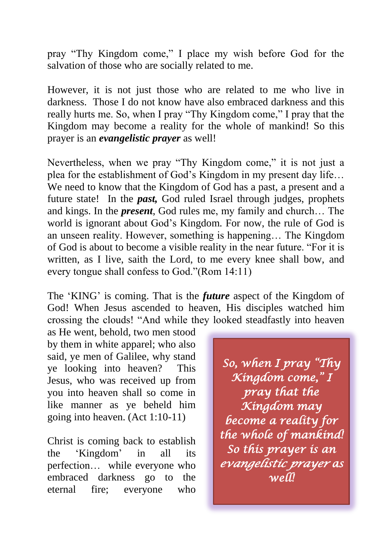pray "Thy Kingdom come," I place my wish before God for the salvation of those who are socially related to me.

However, it is not just those who are related to me who live in darkness. Those I do not know have also embraced darkness and this really hurts me. So, when I pray "Thy Kingdom come," I pray that the Kingdom may become a reality for the whole of mankind! So this prayer is an *evangelistic prayer* as well!

Nevertheless, when we pray "Thy Kingdom come," it is not just a plea for the establishment of God"s Kingdom in my present day life… We need to know that the Kingdom of God has a past, a present and a future state! In the *past,* God ruled Israel through judges, prophets and kings. In the *present*, God rules me, my family and church… The world is ignorant about God's Kingdom. For now, the rule of God is an unseen reality. However, something is happening… The Kingdom of God is about to become a visible reality in the near future. "For it is written, as I live, saith the Lord, to me every knee shall bow, and every tongue shall confess to God."(Rom 14:11)

The 'KING' is coming. That is the *future* aspect of the Kingdom of God! When Jesus ascended to heaven, His disciples watched him crossing the clouds! "And while they looked steadfastly into heaven

as He went, behold, two men stood by them in white apparel; who also said, ye men of Galilee, why stand ye looking into heaven? This Jesus, who was received up from you into heaven shall so come in like manner as ye beheld him going into heaven. (Act 1:10-11)

Christ is coming back to establish the "Kingdom" in all its perfection… while everyone who embraced darkness go to the eternal fire; everyone who

*So, when I pray "Thy Kingdom come," I pray that the Kingdom may become a reality for the whole of mankind! So this prayer is an evangelistic prayer as well!*